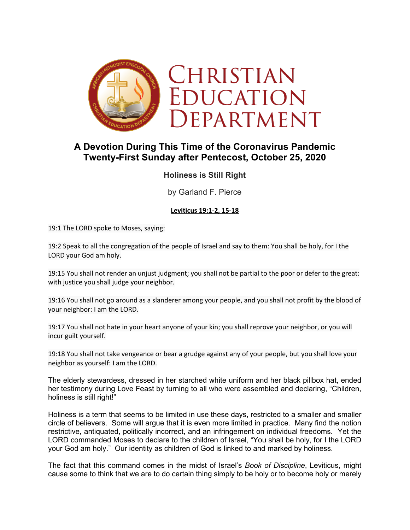

# **A Devotion During This Time of the Coronavirus Pandemic Twenty-First Sunday after Pentecost, October 25, 2020**

## **Holiness is Still Right**

by Garland F. Pierce

### **Leviticus 19:1-2, 15-18**

19:1 The LORD spoke to Moses, saying:

19:2 Speak to all the congregation of the people of Israel and say to them: You shall be holy, for I the LORD your God am holy.

19:15 You shall not render an unjust judgment; you shall not be partial to the poor or defer to the great: with justice you shall judge your neighbor.

19:16 You shall not go around as a slanderer among your people, and you shall not profit by the blood of your neighbor: I am the LORD.

19:17 You shall not hate in your heart anyone of your kin; you shall reprove your neighbor, or you will incur guilt yourself.

19:18 You shall not take vengeance or bear a grudge against any of your people, but you shall love your neighbor as yourself: I am the LORD.

The elderly stewardess, dressed in her starched white uniform and her black pillbox hat, ended her testimony during Love Feast by turning to all who were assembled and declaring, "Children, holiness is still right!"

Holiness is a term that seems to be limited in use these days, restricted to a smaller and smaller circle of believers. Some will argue that it is even more limited in practice. Many find the notion restrictive, antiquated, politically incorrect, and an infringement on individual freedoms. Yet the LORD commanded Moses to declare to the children of Israel, "You shall be holy, for I the LORD your God am holy." Our identity as children of God is linked to and marked by holiness.

The fact that this command comes in the midst of Israel's *Book of Discipline*, Leviticus, might cause some to think that we are to do certain thing simply to be holy or to become holy or merely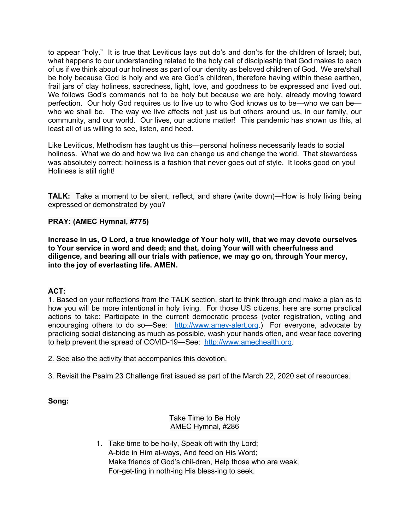to appear "holy." It is true that Leviticus lays out do's and don'ts for the children of Israel; but, what happens to our understanding related to the holy call of discipleship that God makes to each of us if we think about our holiness as part of our identity as beloved children of God. We are/shall be holy because God is holy and we are God's children, therefore having within these earthen, frail jars of clay holiness, sacredness, light, love, and goodness to be expressed and lived out. We follows God's commands not to be holy but because we are holy, already moving toward perfection. Our holy God requires us to live up to who God knows us to be—who we can be who we shall be. The way we live affects not just us but others around us, in our family, our community, and our world. Our lives, our actions matter! This pandemic has shown us this, at least all of us willing to see, listen, and heed.

Like Leviticus, Methodism has taught us this—personal holiness necessarily leads to social holiness. What we do and how we live can change us and change the world. That stewardess was absolutely correct; holiness is a fashion that never goes out of style. It looks good on you! Holiness is still right!

**TALK:** Take a moment to be silent, reflect, and share (write down)—How is holy living being expressed or demonstrated by you?

### **PRAY: (AMEC Hymnal, #775)**

**Increase in us, O Lord, a true knowledge of Your holy will, that we may devote ourselves to Your service in word and deed; and that, doing Your will with cheerfulness and diligence, and bearing all our trials with patience, we may go on, through Your mercy, into the joy of everlasting life. AMEN.**

### **ACT:**

1. Based on your reflections from the TALK section, start to think through and make a plan as to how you will be more intentional in holy living. For those US citizens, here are some practical actions to take: Participate in the current democratic process (voter registration, voting and encouraging others to do so-See: http://www.amev-alert.org.) For everyone, advocate by practicing social distancing as much as possible, wash your hands often, and wear face covering to help prevent the spread of COVID-19—See: http://www.amechealth.org.

2. See also the activity that accompanies this devotion.

3. Revisit the Psalm 23 Challenge first issued as part of the March 22, 2020 set of resources.

**Song:**

Take Time to Be Holy AMEC Hymnal, #286

1. Take time to be ho-ly, Speak oft with thy Lord; A-bide in Him al-ways, And feed on His Word; Make friends of God's chil-dren, Help those who are weak, For-get-ting in noth-ing His bless-ing to seek.